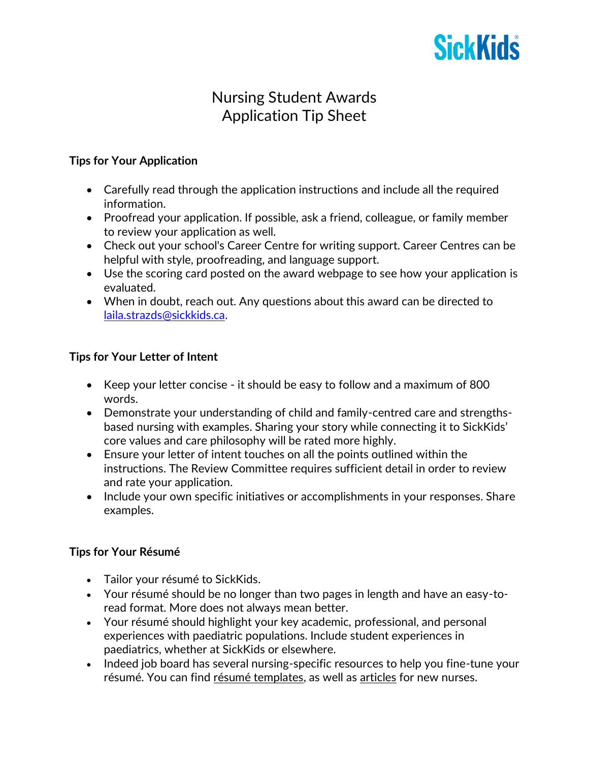

# Nursing Student Awards Application Tip Sheet

#### **Tips for Your Application**

- Carefully read through the application instructions and include all the required information.
- Proofread your application. If possible, ask a friend, colleague, or family member to review your application as well.
- Check out your school's Career Centre for writing support. Career Centres can be helpful with style, proofreading, and language support.
- Use the scoring card posted on the award webpage to see how your application is evaluated.
- When in doubt, reach out. Any questions about this award can be directed to [laila.strazds@sickkids.ca.](mailto:laila.strazds@sickkids.ca)

## **Tips for Your Letter of Intent**

- Keep your letter concise it should be easy to follow and a maximum of 800 words.
- Demonstrate your understanding of child and family-centred care and strengthsbased nursing with examples. Sharing your story while connecting it to SickKids' core values and care philosophy will be rated more highly.
- Ensure your letter of intent touches on all the points outlined within the instructions. The Review Committee requires sufficient detail in order to review and rate your application.
- Include your own specific initiatives or accomplishments in your responses. Share examples.

## **Tips for Your Résumé**

- Tailor your résumé to SickKids.
- Your résumé should be no longer than two pages in length and have an easy-toread format. More does not always mean better.
- Your résumé should highlight your key academic, professional, and personal experiences with paediatric populations. Include student experiences in paediatrics, whether at SickKids or elsewhere.
- Indeed job board has several nursing-specific resources to help you fine-tune your résumé. You can find [résumé templates,](https://www.indeed.com/career-advice/resumes-cover-letters/nursing-resume-new-grad-template) as well as [articles](https://www.indeed.com/career-advice/resumes-cover-letters/entry-level-nurse-resume) for new nurses.